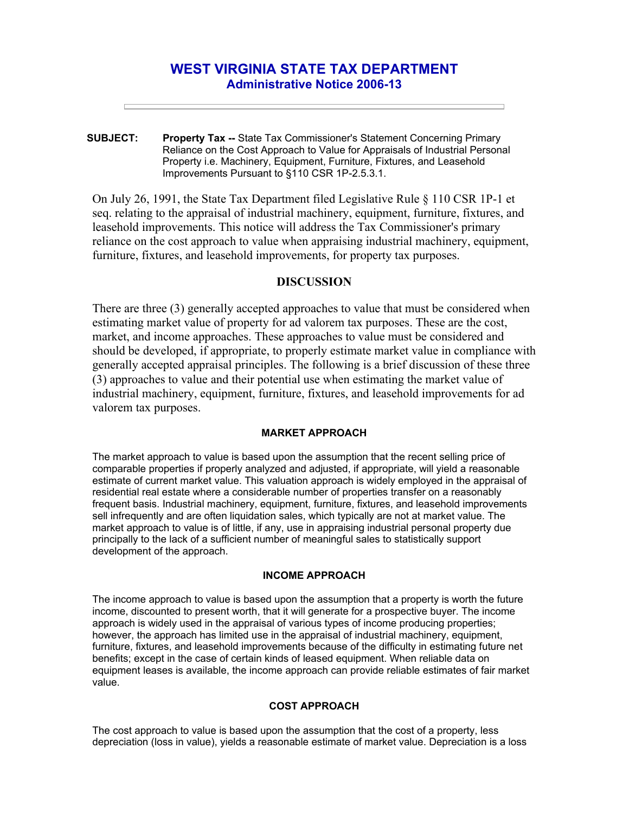# **WEST VIRGINIA STATE TAX DEPARTMENT Administrative Notice 2006-13**

**SUBJECT: Property Tax --** State Tax Commissioner's Statement Concerning Primary Reliance on the Cost Approach to Value for Appraisals of Industrial Personal Property i.e. Machinery, Equipment, Furniture, Fixtures, and Leasehold Improvements Pursuant to §110 CSR 1P-2.5.3.1.

On July 26, 1991, the State Tax Department filed Legislative Rule § 110 CSR 1P-1 et seq. relating to the appraisal of industrial machinery, equipment, furniture, fixtures, and leasehold improvements. This notice will address the Tax Commissioner's primary reliance on the cost approach to value when appraising industrial machinery, equipment, furniture, fixtures, and leasehold improvements, for property tax purposes.

## **DISCUSSION**

There are three (3) generally accepted approaches to value that must be considered when estimating market value of property for ad valorem tax purposes. These are the cost, market, and income approaches. These approaches to value must be considered and should be developed, if appropriate, to properly estimate market value in compliance with generally accepted appraisal principles. The following is a brief discussion of these three (3) approaches to value and their potential use when estimating the market value of industrial machinery, equipment, furniture, fixtures, and leasehold improvements for ad valorem tax purposes.

#### **MARKET APPROACH**

The market approach to value is based upon the assumption that the recent selling price of comparable properties if properly analyzed and adjusted, if appropriate, will yield a reasonable estimate of current market value. This valuation approach is widely employed in the appraisal of residential real estate where a considerable number of properties transfer on a reasonably frequent basis. Industrial machinery, equipment, furniture, fixtures, and leasehold improvements sell infrequently and are often liquidation sales, which typically are not at market value. The market approach to value is of little, if any, use in appraising industrial personal property due principally to the lack of a sufficient number of meaningful sales to statistically support development of the approach.

#### **INCOME APPROACH**

The income approach to value is based upon the assumption that a property is worth the future income, discounted to present worth, that it will generate for a prospective buyer. The income approach is widely used in the appraisal of various types of income producing properties; however, the approach has limited use in the appraisal of industrial machinery, equipment, furniture, fixtures, and leasehold improvements because of the difficulty in estimating future net benefits; except in the case of certain kinds of leased equipment. When reliable data on equipment leases is available, the income approach can provide reliable estimates of fair market value.

### **COST APPROACH**

The cost approach to value is based upon the assumption that the cost of a property, less depreciation (loss in value), yields a reasonable estimate of market value. Depreciation is a loss